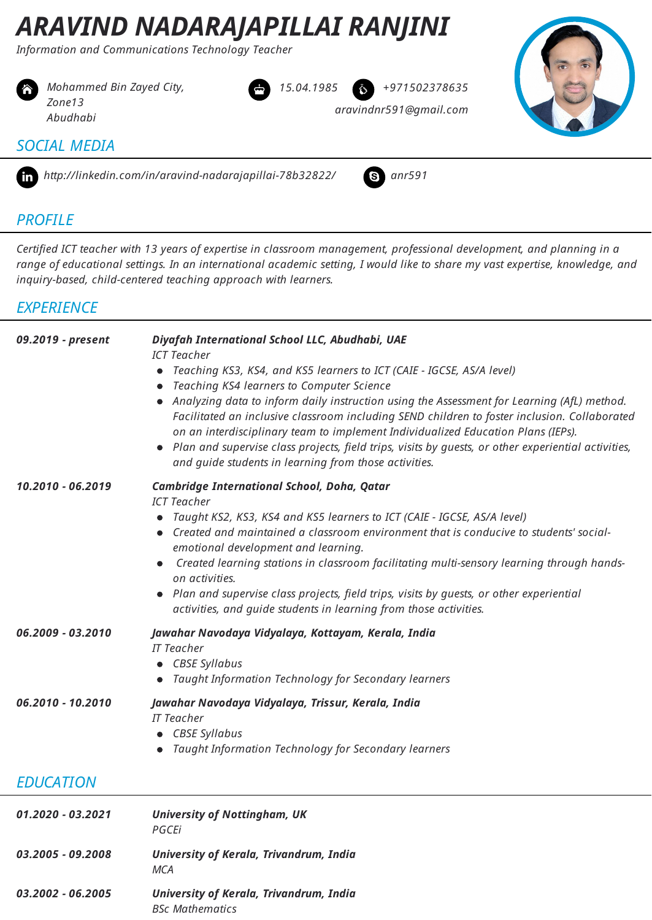# *ARAVIND NADARAJAPILLAI RANJINI*

*Information and Communications Technology Teacher*



 *[Mohammed](http://linkedin.com/in/aravind-nadarajapillai-78b32822/) Bin Zayed City, Zone13 Abudhabi*





#### *SOCIAL MEDIA*



ϩ *http://linkedin.com/in/aravind-nadarajapillai-78b32822/* Ϫ *anr591*



*aravindnr591@gmail.com*

#### *PROFILE*

Certified ICT teacher with 13 years of expertise in classroom management, professional development, and planning in a range of educational settings. In an international academic setting, I would like to share my vast expertise, knowledge, and *inquiry-based, child-centered teaching approach with learners.*

#### *EXPERIENCE*

| 09.2019 - present | Diyafah International School LLC, Abudhabi, UAE                                                                                                                                                                                                                                                                                                                                                                                                 |
|-------------------|-------------------------------------------------------------------------------------------------------------------------------------------------------------------------------------------------------------------------------------------------------------------------------------------------------------------------------------------------------------------------------------------------------------------------------------------------|
|                   | <b>ICT Teacher</b>                                                                                                                                                                                                                                                                                                                                                                                                                              |
|                   | • Teaching KS3, KS4, and KS5 learners to ICT (CAIE - IGCSE, AS/A level)                                                                                                                                                                                                                                                                                                                                                                         |
|                   | Teaching KS4 learners to Computer Science<br>$\bullet$<br>Analyzing data to inform daily instruction using the Assessment for Learning (AfL) method.<br>Facilitated an inclusive classroom including SEND children to foster inclusion. Collaborated<br>on an interdisciplinary team to implement Individualized Education Plans (IEPs).<br>Plan and supervise class projects, field trips, visits by quests, or other experiential activities, |
|                   | and guide students in learning from those activities.                                                                                                                                                                                                                                                                                                                                                                                           |
| 10.2010 - 06.2019 | <b>Cambridge International School, Doha, Qatar</b>                                                                                                                                                                                                                                                                                                                                                                                              |
|                   | <b>ICT Teacher</b><br>Taught KS2, KS3, KS4 and KS5 learners to ICT (CAIE - IGCSE, AS/A level)                                                                                                                                                                                                                                                                                                                                                   |
|                   | Created and maintained a classroom environment that is conducive to students' social-                                                                                                                                                                                                                                                                                                                                                           |
|                   | emotional development and learning.                                                                                                                                                                                                                                                                                                                                                                                                             |
|                   | Created learning stations in classroom facilitating multi-sensory learning through hands-<br>on activities.                                                                                                                                                                                                                                                                                                                                     |
|                   | • Plan and supervise class projects, field trips, visits by quests, or other experiential<br>activities, and guide students in learning from those activities.                                                                                                                                                                                                                                                                                  |
| 06.2009 - 03.2010 | Jawahar Navodaya Vidyalaya, Kottayam, Kerala, India                                                                                                                                                                                                                                                                                                                                                                                             |
|                   | <b>IT Teacher</b>                                                                                                                                                                                                                                                                                                                                                                                                                               |
|                   | CBSE Syllabus                                                                                                                                                                                                                                                                                                                                                                                                                                   |
|                   | Taught Information Technology for Secondary learners                                                                                                                                                                                                                                                                                                                                                                                            |
| 06.2010 - 10.2010 | Jawahar Navodaya Vidyalaya, Trissur, Kerala, India                                                                                                                                                                                                                                                                                                                                                                                              |
|                   | <b>IT Teacher</b><br><b>CBSE Syllabus</b>                                                                                                                                                                                                                                                                                                                                                                                                       |
|                   | Taught Information Technology for Secondary learners                                                                                                                                                                                                                                                                                                                                                                                            |
|                   |                                                                                                                                                                                                                                                                                                                                                                                                                                                 |
| <b>EDUCATION</b>  |                                                                                                                                                                                                                                                                                                                                                                                                                                                 |
| 01.2020 - 03.2021 | <b>University of Nottingham, UK</b><br>PGCEi                                                                                                                                                                                                                                                                                                                                                                                                    |

| 03.2005 - 09.2008 | University of Kerala, Trivandrum, India |  |
|-------------------|-----------------------------------------|--|
|                   | MCA                                     |  |

| 03.2002 - 06.2005 | University of Kerala, Trivandrum, India |  |
|-------------------|-----------------------------------------|--|
|                   | <b>BSc Mathematics</b>                  |  |